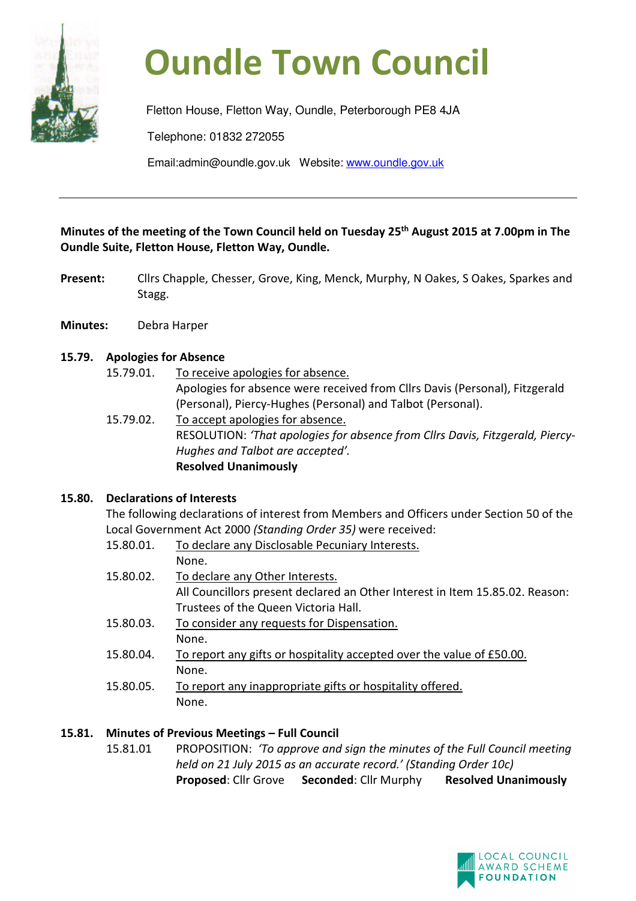

# **Oundle Town Council**

Fletton House, Fletton Way, Oundle, Peterborough PE8 4JA Telephone: 01832 272055 Email:admin@oundle.gov.uk Website: www.oundle.gov.uk

**Minutes of the meeting of the Town Council held on Tuesday 25th August 2015 at 7.00pm in The Oundle Suite, Fletton House, Fletton Way, Oundle.** 

- Present: Cllrs Chapple, Chesser, Grove, King, Menck, Murphy, N Oakes, S Oakes, Sparkes and Stagg.
- **Minutes:** Debra Harper

## **15.79. Apologies for Absence**

15.79.01. To receive apologies for absence.

Apologies for absence were received from Cllrs Davis (Personal), Fitzgerald (Personal), Piercy-Hughes (Personal) and Talbot (Personal).

 15.79.02. To accept apologies for absence. RESOLUTION: *'That apologies for absence from Cllrs Davis, Fitzgerald, Piercy-Hughes and Talbot are accepted'.*  **Resolved Unanimously** 

## **15.80. Declarations of Interests**

 The following declarations of interest from Members and Officers under Section 50 of the Local Government Act 2000 *(Standing Order 35)* were received:

| 15.80.01. | To declare any Disclosable Pecuniary Interests.                              |
|-----------|------------------------------------------------------------------------------|
|           | None.                                                                        |
| 15.80.02. | To declare any Other Interests.                                              |
|           | All Councillors present declared an Other Interest in Item 15.85.02. Reason: |
|           | Trustees of the Queen Victoria Hall.                                         |
| 15.80.03. | To consider any requests for Dispensation.                                   |
|           | None.                                                                        |
| 15.80.04. | To report any gifts or hospitality accepted over the value of £50.00.        |
|           | None.                                                                        |
| 15.80.05. | To report any inappropriate gifts or hospitality offered.                    |
|           | None.                                                                        |

## **15.81. Minutes of Previous Meetings – Full Council**

15.81.01 PROPOSITION: *'To approve and sign the minutes of the Full Council meeting held on 21 July 2015 as an accurate record.' (Standing Order 10c)*  **Proposed**: Cllr Grove **Seconded**: Cllr Murphy **Resolved Unanimously**